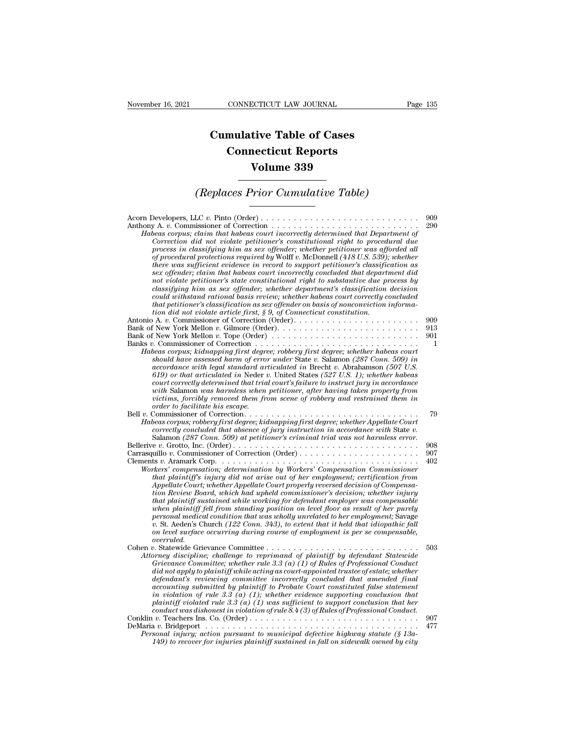## **CONNECTICUT LAW JOURNAL**<br> **Cumulative Table of Cases<br>
Connecticut Reports CONNECTICUT LAW JOURNAL**<br> **CONNECTICUT LAW JOURNAL**<br> **CONNECTICUT Reports<br>
Volume 339 ECTICUT LAW JOURNAL**<br> **Volume 339**<br> **Volume 339**<br> **Volume 339 Cumulative Table of Cases<br>
Connecticut Reports<br>
Volume 339<br>
(Replaces Prior Cumulative Table)**<br> **CEP** Prior Cumulative Table)

| Volume 339                                                                                                                                                                                                                                                                                                                                                                                                                                                                                                                                                                                                                                                                                                                                                                                                                                                                                                                                     |                        |  |
|------------------------------------------------------------------------------------------------------------------------------------------------------------------------------------------------------------------------------------------------------------------------------------------------------------------------------------------------------------------------------------------------------------------------------------------------------------------------------------------------------------------------------------------------------------------------------------------------------------------------------------------------------------------------------------------------------------------------------------------------------------------------------------------------------------------------------------------------------------------------------------------------------------------------------------------------|------------------------|--|
| (Replaces Prior Cumulative Table)                                                                                                                                                                                                                                                                                                                                                                                                                                                                                                                                                                                                                                                                                                                                                                                                                                                                                                              |                        |  |
| Habeas corpus; claim that habeas court incorrectly determined that Department of<br>Correction did not violate petitioner's constitutional right to procedural due<br>process in classifying him as sex offender; whether petitioner was afforded all<br>of procedural protections required by Wolff v. McDonnell (418 U.S. 539); whether<br>there was sufficient evidence in record to support petitioner's classification as<br>sex offender; claim that habeas court incorrectly concluded that department did<br>not violate petitioner's state constitutional right to substantive due process by<br>classifying him as sex offender; whether department's classification decision<br>could withstand rational basis review; whether habeas court correctly concluded<br>that petitioner's classification as sex offender on basis of nonconviction informa-<br>tion did not violate article first, $\S 9$ , of Connecticut constitution. | 909<br>290             |  |
| Bank of New York Mellon v. Gilmore (Order). $\dots \dots \dots \dots \dots \dots \dots \dots \dots \dots$<br>Bank of New York Mellon v. Tope (Order)<br>Banks v. Commissioner of Correction $\dots \dots \dots \dots \dots \dots \dots \dots \dots \dots \dots \dots$<br>Habeas corpus; kidnapping first degree; robbery first degree; whether habeas court<br>should have assessed harm of error under State v. Salamon (287 Conn. 509) in<br>accordance with legal standard articulated in Brecht v. Abrahamson (507 U.S.<br>619) or that articulated in Neder v. United States $(527 \text{ U.S. 1})$ ; whether habeas<br>court correctly determined that trial court's failure to instruct jury in accordance<br>with Salamon was harmless when petitioner, after having taken property from<br>victims, forcibly removed them from scene of robbery and restrained them in<br>order to facilitate his escape.                             | 909<br>913<br>901<br>1 |  |
| Bell $v$ . Commissioner of Correction<br>Habeas corpus; robbery first degree; kidnapping first degree; whether Appellate Court<br>correctly concluded that absence of jury instruction in accordance with State v.<br>Salamon (287 Conn. 509) at petitioner's criminal trial was not harmless error.                                                                                                                                                                                                                                                                                                                                                                                                                                                                                                                                                                                                                                           | 79                     |  |
| Clements v. Aramark Corp. $\dots \dots \dots \dots \dots \dots \dots \dots \dots \dots \dots \dots \dots \dots \dots$<br>Workers' compensation; determination by Workers' Compensation Commissioner<br>that plaintiff's injury did not arise out of her employment; certification from<br>Appellate Court; whether Appellate Court properly reversed decision of Compensa-<br>tion Review Board, which had upheld commissioner's decision; whether injury<br>that plaintiff sustained while working for defendant employer was compensable<br>when plaintiff fell from standing position on level floor as result of her purely<br>personal medical condition that was wholly unrelated to her employment; Savage<br>v. St. Aeden's Church (122 Conn. 343), to extent that it held that idiopathic fall<br>on level surface occurring during course of employment is per se compensable,<br>overruled.                                         | 908<br>907<br>402      |  |
| Cohen v. Statewide Grievance Committee<br>Attorney discipline; challenge to reprimand of plaintiff by defendant Statewide<br>Grievance Committee; whether rule 3.3 (a) (1) of Rules of Professional Conduct<br>did not apply to plaintiff while acting as court-appointed trustee of estate; whether<br>defendant's reviewing committee incorrectly concluded that amended final<br>accounting submitted by plaintiff to Probate Court constituted false statement<br>in violation of rule 3.3 (a) (1); whether evidence supporting conclusion that<br>plaintiff violated rule 3.3 (a) $(1)$ was sufficient to support conclusion that her<br>conduct was dishonest in violation of rule $8.4(3)$ of Rules of Professional Conduct.                                                                                                                                                                                                            | 503                    |  |
| Personal injury; action pursuant to municipal defective highway statute (§ 13a-<br>149) to recover for injuries plaintiff sustained in fall on sidewalk owned by city                                                                                                                                                                                                                                                                                                                                                                                                                                                                                                                                                                                                                                                                                                                                                                          | 907<br>477             |  |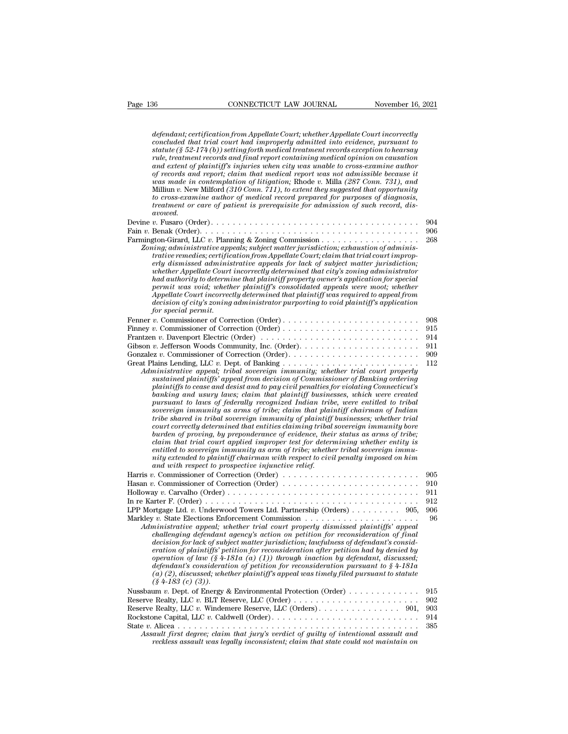*defendant; certification from Appellate Court; whether Appellate Court incorrectly*<br>*defendant; certification from Appellate Court; whether Appellate Court incorrectly*<br>*concluded that trial court had improperly admitted connectual concluded that trial concluded that trial court incorrectly*<br>*defendant; certification from Appellate Court; whether Appellate Court incorrectly*<br>*concluded that trial court had improperly admitted into evidenc Statute (§ 52-174 (b)) setting form Appellate Court; whether Appellate Court incorrectly*<br>*defendant; certification from Appellate Court; whether Appellate Court incorrectly*<br>*concluded that trial court had improperly adm CONNECTICUT LAW JOURNAL* Movember 16, 2021<br> *defendant; certification from Appellate Court; whether Appellate Court incorrectly*<br> *concluded that trial court had improperly admitted into evidence, pursuant to*<br> *statute defendant; certification from Appellate Court; whether Appellate Court incorrectly concluded that trial court had improperly admitted into evidence, pursuant to statute (§ 52-174 (b)) setting forth medical treatment recor defendant; certification from Appellate Court; whether Appellate Court incorrectly concluded that trial court had improperly admitted into evidence, pursuant to statute (§ 52-174 (b)) setting forth medical treatment recor defendant; certification from Appellate Court; whether Appellate Court incorrectly*<br>concluded that trial court had improperly admitted into evidence, pursuant to<br>statute (§ 52-174 (b)) setting forth medical treatment reco defendant; certification from Appellate Court; whether Appellate Court incorrectly<br>concluded that trial court had improperly admitted into evidence, pursuant to<br>statute (§ 52-174 (b)) setting forth medical treatment record *concluded that trad court had improperty admitted into evidence, pursuant to*<br>statute (§ 52-174 (b)) setting forth medical treatment records exception to hearsay<br>rule, treatment records and final report containing medical *statute* (§ 52-174(b)) setting forth medical treatment records exception to hearsay<br>rule, treatment records and final report containing medical opinion on causation<br>and extent of plaintiffs injuries when city was undel to *avowed. of records and report; claim that medical report was not admissible because it*<br>of *records and report; claim that medical report was not admissible because it*<br>was made in contemplation of litigation; Rhode v. Milla (287 Fain *<sup>v</sup>*. Benak (Order). . . . . . . . . . . . . . . . . . . . . . . . . . . . . . . . . . . . . . . . <sup>906</sup> Millium v. New Milford (310 Conn. 711), to extent they suggested that opportunity<br>to cross-examine author of medical record prepared for purposes of diagnosis,<br>treatment or care of patient is prerequisite for admission of *Local personaline author of medical record prepared for purposes of diagnosis,*<br>treatment or care of patient is prerequisite for admission of such record, dis-<br>avowed.<br> $v$ . Fusaro (Order).<br> $v$ . Benak (Order).<br>Zoning; admi *trative remedies; certification from Appellate Court; claim that trial court improperly dismissed administrative appeals for lack of subject matter jurisdiction; whether Appellate Court incorrectly determined that city's zoning administrator had authority to determine that plaintiff property owner's appeals for appeals operation.*<br> *had authority to determine that plaintig & Zoning Commission and authority administrative appeals, subject matter jurisdiction Permit was voiding; administrative appeals; subject matter jurisdiction; exhaustion of administrative remedies; certification from Appellate Court; claim that trial court improperly dismissed administrative appeals for la Appellate Court incorrectly determined that plaintiff was required to appeal from deministrative appeals; subject matter jurisdiction; exhaustion of administrative remedies; certification from Appellate Court; claim that trial court improperty dismissed administrative appeals for lack of subject matter whether Appellate Court incorrectly determined that city's zoning administrator*<br>*had authority to determine that plaintiff property owner's application for special*<br>*permit was void*; *whether plaintiff's consolidated ap* Fenner *<sup>v</sup>*. Commissioner of Correction (Order) . . . . . . . . . . . . . . . . . . . . . . . . . <sup>908</sup> Finney *<sup>v</sup>*. Commissioner of Correction (Order) . . . . . . . . . . . . . . . . . . . . . . . . . <sup>915</sup> Frantzen *<sup>v</sup>*. Davenport Electric (Order) . . . . . . . . . . . . . . . . . . . . . . . . . . . . . <sup>914</sup> Appellate Court incorrectly determined that plaintiff was required to appeal from<br>decision of city's zoning administrator purporting to void plaintiff's application<br>for special permit.<br>Fenner v. Commissioner of Correction Gonzalez *<sup>v</sup>*. Commissioner of Correction (Order). . . . . . . . . . . . . . . . . . . . . . . . <sup>909</sup> for special permit.<br>
Fenner v. Commissioner of Correction (Order)<br>
Finney v. Commissioner of Correction (Order)<br>
Frantzen v. Davenport Electric (Order)<br>
Frantzen v. Davenport Electric (Order)<br>
Gibson v. Jefferson Woods Com *Administioner of Correction (Order)*<br> *Administrative appearsioner of Correction (Order)*<br> *Administrative appeal; tribal sovereign immunity; whether trial court properly*<br> *Administrative appeal; tribal sovereign immunit sustained plaintiffs'* appear to the main from decision of the method of the method of the method of appear of Commissioner of Correction (Order).<br> *sustained plaintiffs' appeal, tribal sovereign immunity, whether trial c plaintiffs* to cease and desist and to pay civil penalties for violating and the pay commissioner of Correction (Order).<br> *p p* Jefferson Woods Community, Inc. (Order).<br> *p p sustained plaintiffs' appeal; tribal sov b*. Jefferson Woods Community, Inc. (Order).<br> *b*. Jefferson Woods Community, Inc. (Order).<br>
22 *v*. Commissioner of Correction (Order).<br>
Illaministrative appeal; tribal sovereign immunity; whether trial court properly<br>
s *pursuant to laws of federally recognized Indian tribe, were entitled to tribal sovereign immunity as arms of tribe; claim that plaintiff chairman of Indian tribe shared in tribal sovereign immunity of plaintiff businesses; whether trial court property and sovereign immunity; whether trial court property*<br>plaintiffs to cease and desist and to pay civil penalties for violating Comercicut's<br>plaintiffs to cease and desist and to pay civil penalties for viola *bustained plaintiffs' appeal from decision of Commissioner of Banking ordering<br>plaintiffs to cease and desist and to pay civil penalties for violating Connecticut's<br>banking and usury laws; claim that plaintiff businesses,* plantiffs to cease and desist and to pay civil penalties for violating Connecticut's<br>banking and usury laws; claim that plaintiff businesses, which were created<br>pursuant to laws of federally recognized Indian tribe, were e *banking and usury laws; claim that plaintiff businesses, which were created* pursuant to laws of federally recognized Indian tribe, were entitled to tribal sovereign immunity as arms of tribe; claim that plaintiff chairma pursuant to laws of *federally recognized Indian tribe, were entitled to tribal*<br>sovereign immunity as arms of tribe; claim that plaintiff chairman of Indian<br>tribe shared in tribal sovereign immunity of plaintiff businesse *sovereign immunity as arms of tribe; claim that plat* tribe shared in tribal sovereign immunity of plaintiff court correctly determined that entities claiming tribal burden of proving, by preponderance of evidence, their Fries sared in tried society unmaining of plainting sixterses, anceaer in a<br>court correctly determined that entities claiming tribal sovereign immunity bore<br>burden of proving, by preponderance of evidence, their status as burden of proving, by preponderance of evidence, their status as arms of tribe;<br>claim that trial court applied improper test for determining whether entity is<br>entitled to sovereign immunity as arm of tribe; whether tribal *claim that trial court applied improper test for determining whether entity is*<br> *entitled to sovereign immunity as arm of tribe; whether tribal sovereign immunity extended to plaintiff chairman with respect to civil pena* entitled to sovereign immunity as arm of tribe; whether tribal sovereign immunity extended to plaintiff chairman with respect to civil penalty imposed on him<br>and with respect to prospective injunctive relief.<br>Harris v. Com nity extended to plaintiff chairman with respect to civil penalty imposed on him<br>and with respect to prospective injunctive relief.<br>Hararis v. Commissioner of Correction (Order)<br>10. Hasan v. Commissioner of Correction (Ord and with respect to prospective injunctive relief.<br>
Harris v. Commissioner of Correction (Order)<br>
Hasan v. Commissioner of Correction (Order)<br>
Holloway v. Carvalho (Order)<br>
In re Karter F. (Order)<br>
11 In re Karter F. (Orde *Administrative appeal; whether ministration: Laonible appealing appealing the set of the Same appeal; whether F.* (Order)<br> *Administrative appeal; whether trial court properly dismissed plaintiffs' appeal*<br> *Administrativ challenging defendant agency's action on petition after neither defendant agency's action of petition of petition of petition of petition of planting defendant agency's action on petition for reconsideration of final cha decision for lack of subject matter jurisdiction; lawfulness of defendant's consideration of plaintiffs' petition for reconsideration personal decision for lack afteration of plaintiffs' appeal*<br> *eration for example in the periodic periodic periodic periodic periodic in the ministrative appeal; whethe* operation of law (§ 4-181a (a) (1)) through increase that is the function of the selections Enforcement Commission<br>*operation of later appeal, whether trial court properly dismissed plaintiffs' appeal*<br>*challenging defenda defendant in the method in the petition of petition of the 4-183 consideration*  $\alpha$  is the expected of the consideration of peak consideration of final *challenging defendant agency's action on petition for reconsiderati (a) (2), discussed; whether plaintiff's appeal was timely filed pursuant to statute challenging defendant agency's action on petition for reconsideration of final decision for lack of subject matter jurisdiction; lawfulness of defendant's consideration of plaintiffs' petition for reconsideration after p* decision for lack of subject matter jurisdiction; lawfulness of defendant's consideration of plaintiffs' petition for reconsideration after petition had by denied by operation of law (§ 4-181a (a) (1)) through inaction by eration of plaintiffs' petition for reconsideration after petition had by denied by<br>operation of plaintiffs' petition for reconsideration after petition had by denied by<br>operation of law (§ 4-181a (a) (1)) through inaction operation of law (§ 4-181a (a) (1)) through inaction by defendant, discussed;<br>defendant's consideration of petition for reconsideration pursuant to § 4-181a<br>(a) (2), discussed, whether plaintiff's appeal was timely filed p defendant's consideration of petition for reconsideration pursuant to \$4-181a<br>
(a) (2), discussed, whether plaintiff's appeal was timely filed pursuant to statute<br>
(\$4-183 (c) (3)).<br>
Nussbaum v. Dept. of Energy & Environme (a)  $(2)$ , discussed, whether plaintiff's appeal was timely filed pursuant to statute<br>  $(\$ 4-183$   $(c)$   $(3))$ .<br>
Nussbaum v. Dept. of Energy & Environmental Protection (Order)<br>
Reserve Realty, LLC v. BLT Reserve, LLC (Order *Assault first degree; claim that jury's verdict of guilty of intentional assault and reckless assault was legally inconsistent; claim that state could not maintain on reckless assault was legally inconsistent; claim that state could not maintain on reckless assault was legally inconsistent; claim that sta*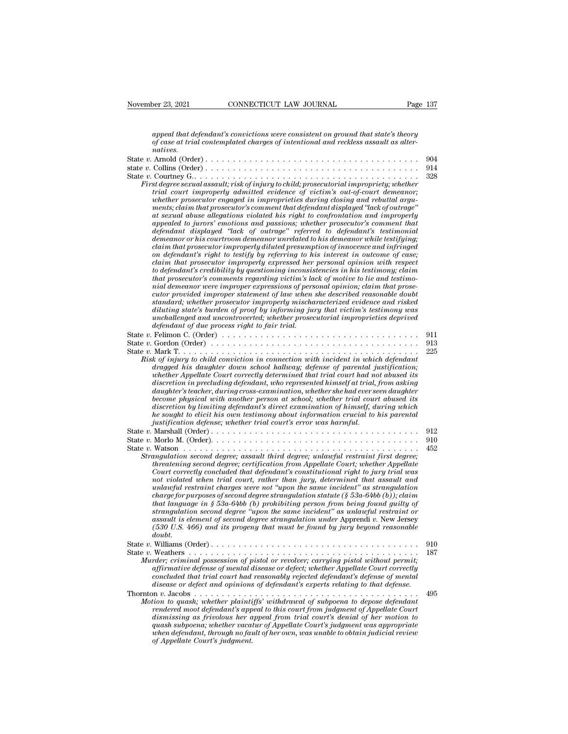| November 23, 2021 | CONNECTICUT LAW JOURNAL                                                                                                                                                                                                                                                                                                                                                                                                                                                                                         | Page 137 |
|-------------------|-----------------------------------------------------------------------------------------------------------------------------------------------------------------------------------------------------------------------------------------------------------------------------------------------------------------------------------------------------------------------------------------------------------------------------------------------------------------------------------------------------------------|----------|
|                   |                                                                                                                                                                                                                                                                                                                                                                                                                                                                                                                 |          |
| natives.          | appeal that defendant's convictions were consistent on ground that state's theory<br>of case at trial contemplated charges of intentional and reckless assault as alter-                                                                                                                                                                                                                                                                                                                                        |          |
|                   |                                                                                                                                                                                                                                                                                                                                                                                                                                                                                                                 | 904      |
|                   |                                                                                                                                                                                                                                                                                                                                                                                                                                                                                                                 | 914      |
|                   | First degree sexual assault; risk of injury to child; prosecutorial impropriety; whether<br>trial court improperly admitted evidence of victim's out-of-court demeanor;<br>whether prosecutor engaged in improprieties during closing and rebuttal argu-<br>ments; claim that prosecutor's comment that defendant displayed "lack of outrage"<br>at sexual abuse allegations violated his right to confrontation and improperly<br>appealed to jurors' emotions and passions; whether prosecutor's comment that | 328      |
|                   | .                                                                                                                                                                                                                                                                                                                                                                                                                                                                                                               |          |

| oj case ar ir iai conicempianca charges oj inicentional ana reciliess assauri<br>natives.                                                                           |     |
|---------------------------------------------------------------------------------------------------------------------------------------------------------------------|-----|
|                                                                                                                                                                     | 904 |
|                                                                                                                                                                     | 914 |
|                                                                                                                                                                     | 328 |
| First degree sexual assault; risk of injury to child; prosecutorial impropriety; whether                                                                            |     |
| trial court improperly admitted evidence of victim's out-of-court demeanor;                                                                                         |     |
| whether prosecutor engaged in improprieties during closing and rebuttal argu-                                                                                       |     |
| ments; claim that prosecutor's comment that defendant displayed "lack of outrage"<br>at sexual abuse allegations violated his right to confrontation and improperly |     |
| appealed to jurors' emotions and passions; whether prosecutor's comment that                                                                                        |     |
| defendant displayed "lack of outrage" referred to defendant's testimonial                                                                                           |     |
| demeanor or his courtroom demeanor unrelated to his demeanor while testifying;                                                                                      |     |
| claim that prosecutor improperly diluted presumption of innocence and infringed                                                                                     |     |
| on defendant's right to testify by referring to his interest in outcome of case;                                                                                    |     |
| claim that prosecutor improperly expressed her personal opinion with respect                                                                                        |     |
| to defendant's credibility by questioning inconsistencies in his testimony; claim                                                                                   |     |
| that prosecutor's comments regarding victim's lack of motive to lie and testimo-<br>nial demeanor were improper expressions of personal opinion; claim that prose-  |     |
| cutor provided improper statement of law when she described reasonable doubt                                                                                        |     |
| standard; whether prosecutor improperly mischaracterized evidence and risked                                                                                        |     |
| diluting state's burden of proof by informing jury that victim's testimony was                                                                                      |     |
| unchallenged and uncontroverted; whether prosecutorial improprieties deprived                                                                                       |     |
| defendant of due process right to fair trial.                                                                                                                       |     |
| State v. Felimon C. (Order) $\ldots \ldots \ldots \ldots \ldots \ldots \ldots \ldots \ldots \ldots \ldots \ldots \ldots$                                            | 911 |
|                                                                                                                                                                     | 913 |
|                                                                                                                                                                     | 225 |
| Risk of injury to child conviction in connection with incident in which defendant<br>dragged his daughter down school hallway; defense of parental justification;   |     |
| whether Appellate Court correctly determined that trial court had not abused its                                                                                    |     |
| discretion in precluding defendant, who represented himself at trial, from asking                                                                                   |     |
| daughter's teacher, during cross-examination, whether she had ever seen daughter                                                                                    |     |
| become physical with another person at school; whether trial court abused its                                                                                       |     |
| discretion by limiting defendant's direct examination of himself, during which                                                                                      |     |
| he sought to elicit his own testimony about information crucial to his parental                                                                                     |     |
| justification defense; whether trial court's error was harmful.                                                                                                     |     |
|                                                                                                                                                                     | 912 |
|                                                                                                                                                                     | 910 |
| Strangulation second degree; assault third degree; unlawful restraint first degree;                                                                                 | 452 |
| threatening second degree; certification from Appellate Court; whether Appellate                                                                                    |     |
| Court correctly concluded that defendant's constitutional right to jury trial was                                                                                   |     |
| not violated when trial court, rather than jury, determined that assault and                                                                                        |     |
| unlawful restraint charges were not "upon the same incident" as strangulation                                                                                       |     |
| charge for purposes of second degree strangulation statute (§ 53a-64bb (b)); claim                                                                                  |     |
| that language in $\S$ 53a-64bb (b) prohibiting person from being found guilty of                                                                                    |     |
| strangulation second degree "upon the same incident" as unlawful restraint or<br>assault is element of second degree strangulation under Apprendi v. New Jersey     |     |
| (530 U.S. 466) and its progeny that must be found by jury beyond reasonable                                                                                         |     |
| doubt.                                                                                                                                                              |     |
|                                                                                                                                                                     | 910 |
|                                                                                                                                                                     | 187 |
| Murder; criminal possession of pistol or revolver; carrying pistol without permit;                                                                                  |     |
| affirmative defense of mental disease or defect; whether Appellate Court correctly                                                                                  |     |
| concluded that trial court had reasonably rejected defendant's defense of mental                                                                                    |     |
| disease or defect and opinions of defendant's experts relating to that defense.                                                                                     |     |
| Thornton v. Jacobs<br><u>.</u>                                                                                                                                      | 495 |
| Motion to quash; whether plaintiffs' withdrawal of subpoena to depose defendant<br>rendered moot defendant's appeal to this court from judgment of Appellate Court  |     |
| dismissing as frivolous her appeal from trial court's denial of her motion to                                                                                       |     |
| quash subpoena; whether vacatur of Appellate Court's judgment was appropriate                                                                                       |     |
| when defendant, through no fault of her own, was unable to obtain judicial review                                                                                   |     |
| of Appellate Court's judgment.                                                                                                                                      |     |
|                                                                                                                                                                     |     |